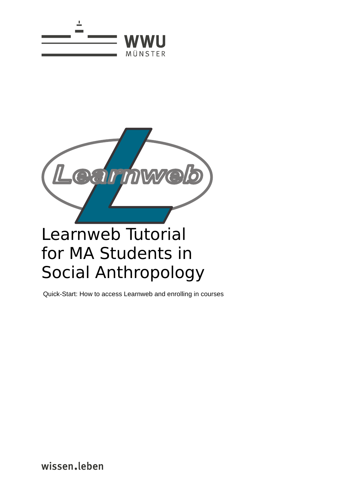



Quick-Start: How to access Learnweb and enrolling in courses

wissen.leben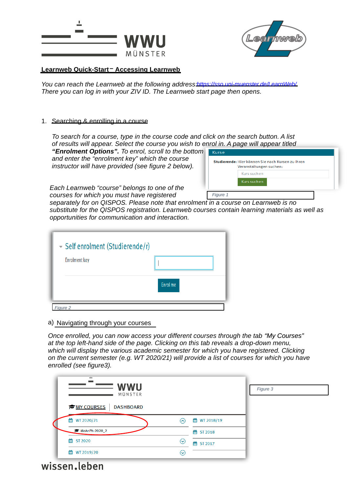



## **Learnweb Quick-Start – Accessing Learnweb**

*You can reach the Learnweb at the following address: https://sso.uni-muenster.de/LearnWeb/ There you can log in with your ZIV ID. The Learnweb start page then opens.*

## 1. Searching & enrolling in a course

*To search for a course, type in the course code and click on the search button. A list of results will appear. Select the course you wish to enrol in. A page will appear titled*

*"Enrolment Options". To enrol, scroll to the bottom and enter the "enrolment key" which the course instructor will have provided (see figure 2 below).*

| Kurs suchen<br>Kurs suchen | Studierende: Hier können Sie nach Kursen zu Ihren<br>Veranstaltungen suchen: |  |
|----------------------------|------------------------------------------------------------------------------|--|
|                            |                                                                              |  |
|                            |                                                                              |  |
|                            |                                                                              |  |

*Each Learnweb "course" belongs to one of the courses for which you must have registered* 

*separately for on QISPOS. Please note that enrolment in a course on Learnweb is no substitute for the QISPOS registration. Learnweb courses contain learning materials as well as opportunities for communication and interaction.*

| Self enrolment (Studierende/r)<br><b>Enrolment key</b> |          |
|--------------------------------------------------------|----------|
|                                                        | Enrol me |
| Figure 2                                               |          |

## a) Navigating through your courses

*Once enrolled, you can now access your different courses through the tab "My Courses" at the top left-hand side of the page. Clicking on this tab reveals a drop-down menu, which will display the various academic semester for which you have registered. Clicking on the current semester (e.g. WT 2020/21) will provide a list of courses for which you have enrolled (see figure3).*

| <b>WWU</b><br>MÜNSTER                  |                                       |                          | Figure 3 |
|----------------------------------------|---------------------------------------|--------------------------|----------|
| <b>ENY COURSES</b><br><b>DASHBOARD</b> |                                       |                          |          |
| thm WT 2020/21                         | $(\boldsymbol{\widehat{\mathtt{-}}})$ | ttp://www.britago.org/19 |          |
| MaAnPh-2020_2                          |                                       | the ST 2018              |          |
| 鯩<br><b>ST 2020</b>                    | $(\!\!\mathord{\leadsto}\!)$          | the ST 2017              |          |
| 鯩<br>WT 2019/20                        | (↓)                                   |                          |          |

wissen.leben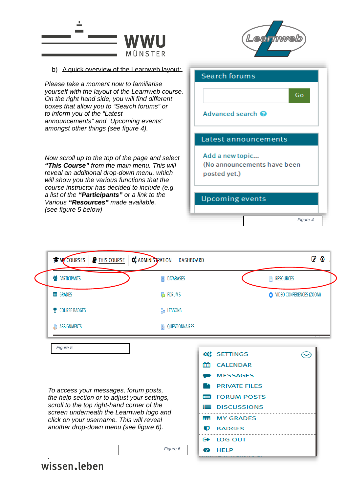

| <b>PARTICIPANTS</b>              | <b>DATABASES</b><br>8 |                                             | RESOURCES                     |
|----------------------------------|-----------------------|---------------------------------------------|-------------------------------|
| <b>田 GRADES</b><br><b>FORUMS</b> |                       |                                             | VIDEO CONFERENCES (ZOOM)<br>œ |
| <b><i>Y</i></b> COURSE BADGES    | <b>R</b> LESSONS      |                                             |                               |
| <b>ASSIGNMENTS</b><br>L          | QUESTIONNAIRES<br>у.  |                                             |                               |
|                                  |                       |                                             |                               |
| Figure 5                         |                       |                                             |                               |
|                                  |                       | <b>C</b> <sub>6</sub> <sup>8</sup> SETTINGS |                               |
|                                  |                       | <b>EE CALENDAR</b>                          |                               |

*Figure 6*

*the help section or to adjust your settings, scroll to the top right-hand corner of the screen underneath the Learnweb logo and click on your username. This will reveal another drop-down menu (see figure 6).* 

**E** DISCUSSIONS **EE MY GRADES U** BADGES **E** LOG OUT **@** HELP

## wissen.leben

*.*